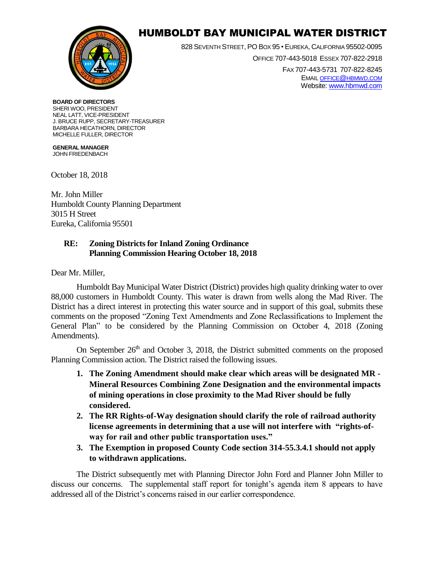

## HUMBOLDT BAY MUNICIPAL WATER DISTRICT

828 SEVENTH STREET, PO BOX 95 • EUREKA, CALIFORNIA 95502-0095 OFFICE 707-443-5018 ESSEX 707-822-2918 FAX 707-443-5731 707-822-8245 EMAI[L OFFICE](mailto:office@hbmwd.com)@HBMWD.COM Website: [www.hbmwd.com](http://www.hbmwd.com/)

## **BOARD OF DIRECTORS** SHERI WOO, PRESIDENT NEAL LATT, VICE-PRESIDENT

J. BRUCE RUPP, SECRETARY-TREASURER BARBARA HECATHORN, DIRECTOR MICHELLE FULLER, DIRECTOR

**GENERAL MANAGER** JOHN FRIEDENBACH

October 18, 2018

Mr. John Miller Humboldt County Planning Department 3015 H Street Eureka, California 95501

## **RE: Zoning Districts for Inland Zoning Ordinance Planning Commission Hearing October 18, 2018**

Dear Mr. Miller,

Humboldt Bay Municipal Water District (District) provides high quality drinking water to over 88,000 customers in Humboldt County. This water is drawn from wells along the Mad River. The District has a direct interest in protecting this water source and in support of this goal, submits these comments on the proposed "Zoning Text Amendments and Zone Reclassifications to Implement the General Plan" to be considered by the Planning Commission on October 4, 2018 (Zoning Amendments).

On September  $26<sup>th</sup>$  and October 3, 2018, the District submitted comments on the proposed Planning Commission action. The District raised the following issues.

- **1. The Zoning Amendment should make clear which areas will be designated MR - Mineral Resources Combining Zone Designation and the environmental impacts of mining operations in close proximity to the Mad River should be fully considered.**
- **2. The RR Rights-of-Way designation should clarify the role of railroad authority license agreements in determining that a use will not interfere with "rights-ofway for rail and other public transportation uses."**
- **3. The Exemption in proposed County Code section 314-55.3.4.1 should not apply to withdrawn applications.**

The District subsequently met with Planning Director John Ford and Planner John Miller to discuss our concerns. The supplemental staff report for tonight's agenda item 8 appears to have addressed all of the District's concerns raised in our earlier correspondence.